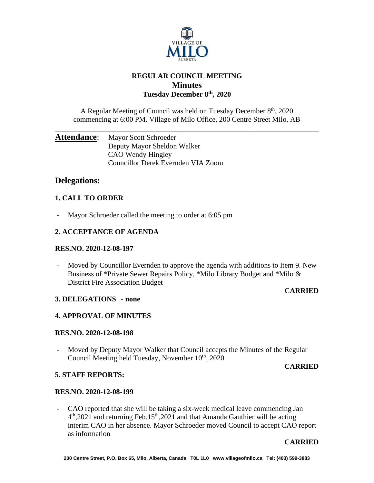

# **REGULAR COUNCIL MEETING Minutes Tuesday December 8th , 2020**

A Regular Meeting of Council was held on Tuesday December 8<sup>th</sup>, 2020 commencing at 6:00 PM. Village of Milo Office, 200 Centre Street Milo, AB

**\_\_\_\_\_\_\_\_\_\_\_\_\_\_\_\_\_\_\_\_\_\_\_\_\_\_\_\_\_\_\_\_\_\_\_\_\_\_\_\_\_\_\_\_\_\_\_\_\_\_\_\_\_\_\_\_\_\_\_\_\_\_\_\_\_\_\_\_\_\_\_\_**

# Attendance: Mayor Scott Schroeder Deputy Mayor Sheldon Walker CAO Wendy Hingley Councillor Derek Evernden VIA Zoom

# **Delegations:**

# **1. CALL TO ORDER**

- Mayor Schroeder called the meeting to order at 6:05 pm

# **2. ACCEPTANCE OF AGENDA**

# **RES.NO. 2020-12-08-197**

- Moved by Councillor Evernden to approve the agenda with additions to Item 9. New Business of \*Private Sewer Repairs Policy, \*Milo Library Budget and \*Milo & District Fire Association Budget

# **CARRIED**

# **3. DELEGATIONS - none**

# **4. APPROVAL OF MINUTES**

# **RES.NO. 2020-12-08-198**

- Moved by Deputy Mayor Walker that Council accepts the Minutes of the Regular Council Meeting held Tuesday, November 10<sup>th</sup>, 2020

# **CARRIED**

# **5. STAFF REPORTS:**

# **RES.NO. 2020-12-08-199**

- CAO reported that she will be taking a six-week medical leave commencing Jan 4<sup>th</sup>,2021 and returning Feb.15<sup>th</sup>,2021 and that Amanda Gauthier will be acting interim CAO in her absence. Mayor Schroeder moved Council to accept CAO report as information

# **CARRIED**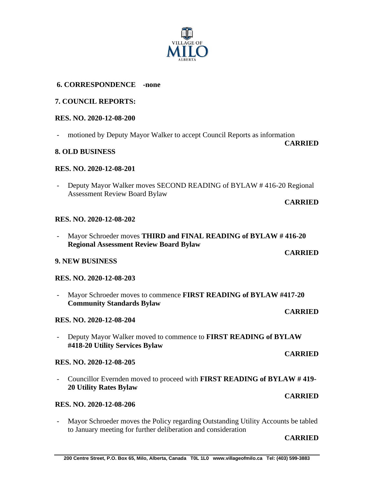

# **6. CORRESPONDENCE -none**

# **7. COUNCIL REPORTS:**

# **RES. NO. 2020-12-08-200**

motioned by Deputy Mayor Walker to accept Council Reports as information

# **8. OLD BUSINESS**

# **RES. NO. 2020-12-08-201**

Deputy Mayor Walker moves SECOND READING of BYLAW #416-20 Regional Assessment Review Board Bylaw

# **CARRIED**

**CARRIED**

**CARRIED**

**CARRIED**

**CARRIED**

**CARRIED**

## **RES. NO. 2020-12-08-202**

- Mayor Schroeder moves **THIRD and FINAL READING of BYLAW # 416-20 Regional Assessment Review Board Bylaw**

# **9. NEW BUSINESS**

# **RES. NO. 2020-12-08-203**

- Mayor Schroeder moves to commence **FIRST READING of BYLAW #417-20 Community Standards Bylaw**

# **RES. NO. 2020-12-08-204**

- Deputy Mayor Walker moved to commence to **FIRST READING of BYLAW #418-20 Utility Services Bylaw**

# **RES. NO. 2020-12-08-205**

- Councillor Evernden moved to proceed with **FIRST READING of BYLAW # 419- 20 Utility Rates Bylaw**

# **RES. NO. 2020-12-08-206**

- Mayor Schroeder moves the Policy regarding Outstanding Utility Accounts be tabled to January meeting for further deliberation and consideration

### **CARRIED**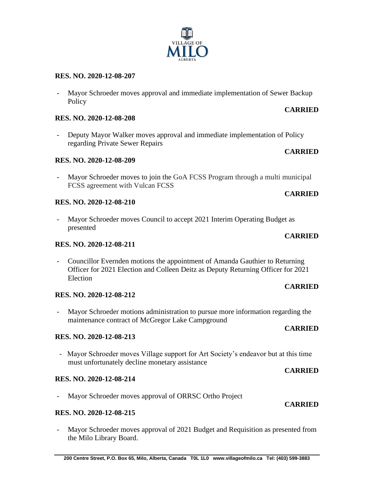### **200 Centre Street, P.O. Box 65, Milo, Alberta, Canada T0L 1L0 www.villageofmilo.ca Tel: (403) 599-3883**

#### **RES. NO. 2020-12-08-207**

- Mayor Schroeder moves approval and immediate implementation of Sewer Backup **Policy** 

### **RES. NO. 2020-12-08-208**

Deputy Mayor Walker moves approval and immediate implementation of Policy regarding Private Sewer Repairs

### **RES. NO. 2020-12-08-209**

- Mayor Schroeder moves to join the GoA FCSS Program through a multi municipal FCSS agreement with Vulcan FCSS

## **RES. NO. 2020-12-08-210**

Mayor Schroeder moves Council to accept 2021 Interim Operating Budget as presented

### **RES. NO. 2020-12-08-211**

- Councillor Evernden motions the appointment of Amanda Gauthier to Returning Officer for 2021 Election and Colleen Deitz as Deputy Returning Officer for 2021 Election

### **RES. NO. 2020-12-08-212**

- Mayor Schroeder motions administration to pursue more information regarding the maintenance contract of McGregor Lake Campground

### **RES. NO. 2020-12-08-213**

- Mayor Schroeder moves Village support for Art Society's endeavor but at this time must unfortunately decline monetary assistance

## **RES. NO. 2020-12-08-214**

- Mayor Schroeder moves approval of ORRSC Ortho Project

## **RES. NO. 2020-12-08-215**

- Mayor Schroeder moves approval of 2021 Budget and Requisition as presented from the Milo Library Board.

# **CARRIED**

**CARRIED**

## **CARRIED**

# **CARRIED**

**CARRIED**

# **CARRIED**

# **CARRIED**

# **CARRIED**